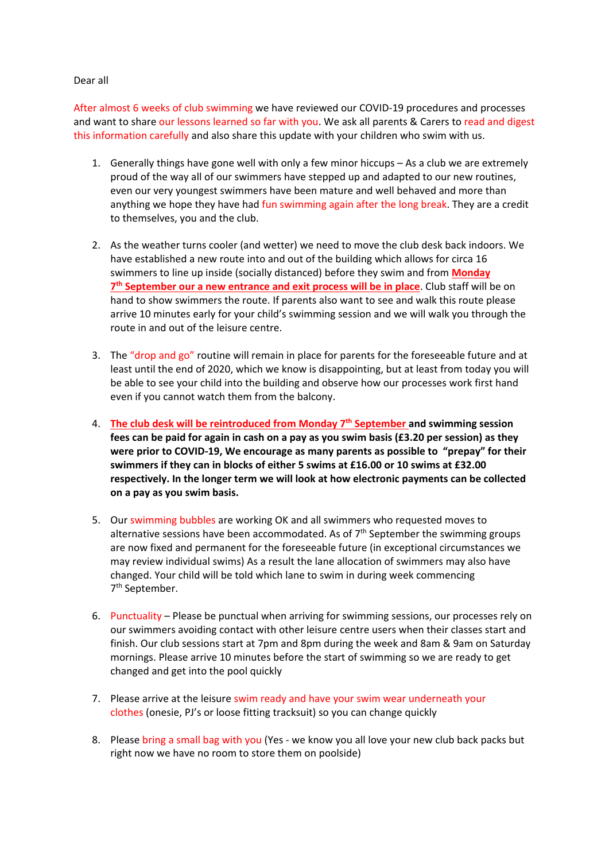## Dear all

After almost 6 weeks of club swimming we have reviewed our COVID‐19 procedures and processes and want to share our lessons learned so far with you. We ask all parents & Carers to read and digest this information carefully and also share this update with your children who swim with us.

- 1. Generally things have gone well with only a few minor hiccups As a club we are extremely proud of the way all of our swimmers have stepped up and adapted to our new routines, even our very youngest swimmers have been mature and well behaved and more than anything we hope they have had fun swimming again after the long break. They are a credit to themselves, you and the club.
- 2. As the weather turns cooler (and wetter) we need to move the club desk back indoors. We have established a new route into and out of the building which allows for circa 16 swimmers to line up inside (socially distanced) before they swim and from **Monday 7th September our a new entrance and exit process will be in place**. Club staff will be on hand to show swimmers the route. If parents also want to see and walk this route please arrive 10 minutes early for your child's swimming session and we will walk you through the route in and out of the leisure centre.
- 3. The "drop and go" routine will remain in place for parents for the foreseeable future and at least until the end of 2020, which we know is disappointing, but at least from today you will be able to see your child into the building and observe how our processes work first hand even if you cannot watch them from the balcony.
- 4. **The club desk will be reintroduced from Monday 7th September and swimming session fees can be paid for again in cash on a pay as you swim basis (£3.20 per session) as they were prior to COVID‐19, We encourage as many parents as possible to "prepay" for their swimmers if they can in blocks of either 5 swims at £16.00 or 10 swims at £32.00 respectively. In the longer term we will look at how electronic payments can be collected on a pay as you swim basis.**
- 5. Our swimming bubbles are working OK and all swimmers who requested moves to alternative sessions have been accommodated. As of  $7<sup>th</sup>$  September the swimming groups are now fixed and permanent for the foreseeable future (in exceptional circumstances we may review individual swims) As a result the lane allocation of swimmers may also have changed. Your child will be told which lane to swim in during week commencing 7th September.
- 6. Punctuality Please be punctual when arriving for swimming sessions, our processes rely on our swimmers avoiding contact with other leisure centre users when their classes start and finish. Our club sessions start at 7pm and 8pm during the week and 8am & 9am on Saturday mornings. Please arrive 10 minutes before the start of swimming so we are ready to get changed and get into the pool quickly
- 7. Please arrive at the leisure swim ready and have your swim wear underneath your clothes (onesie, PJ's or loose fitting tracksuit) so you can change quickly
- 8. Please bring a small bag with you (Yes ‐ we know you all love your new club back packs but right now we have no room to store them on poolside)